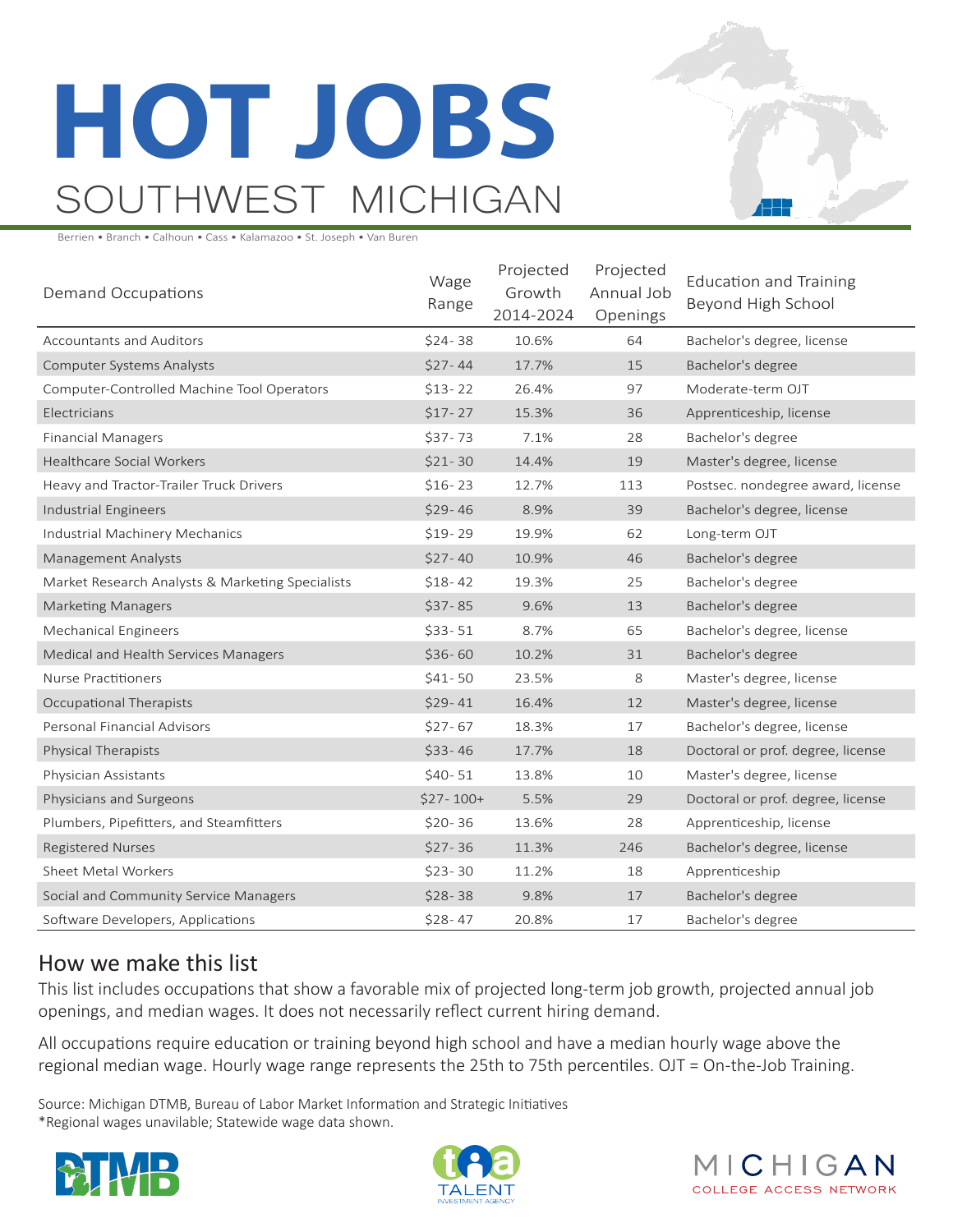# **HOT JOBS** SOUTHWEST MICHIGAN

Berrien • Branch • Calhoun • Cass • Kalamazoo • St. Joseph • Van Buren

| Demand Occupations                               | Wage<br>Range | Projected<br>Growth<br>2014-2024 | Projected<br>Annual Job<br>Openings | <b>Education and Training</b><br>Beyond High School |
|--------------------------------------------------|---------------|----------------------------------|-------------------------------------|-----------------------------------------------------|
| <b>Accountants and Auditors</b>                  | $$24-38$      | 10.6%                            | 64                                  | Bachelor's degree, license                          |
| <b>Computer Systems Analysts</b>                 | $$27 - 44$    | 17.7%                            | 15                                  | Bachelor's degree                                   |
| Computer-Controlled Machine Tool Operators       | $$13-22$      | 26.4%                            | 97                                  | Moderate-term OJT                                   |
| Electricians                                     | $$17-27$      | 15.3%                            | 36                                  | Apprenticeship, license                             |
| <b>Financial Managers</b>                        | $$37-73$      | 7.1%                             | 28                                  | Bachelor's degree                                   |
| <b>Healthcare Social Workers</b>                 | $$21-30$      | 14.4%                            | 19                                  | Master's degree, license                            |
| Heavy and Tractor-Trailer Truck Drivers          | $$16-23$      | 12.7%                            | 113                                 | Postsec. nondegree award, license                   |
| Industrial Engineers                             | $$29-46$      | 8.9%                             | 39                                  | Bachelor's degree, license                          |
| Industrial Machinery Mechanics                   | $$19-29$      | 19.9%                            | 62                                  | Long-term OJT                                       |
| Management Analysts                              | $$27-40$      | 10.9%                            | 46                                  | Bachelor's degree                                   |
| Market Research Analysts & Marketing Specialists | $$18-42$      | 19.3%                            | 25                                  | Bachelor's degree                                   |
| <b>Marketing Managers</b>                        | $$37-85$      | 9.6%                             | 13                                  | Bachelor's degree                                   |
| <b>Mechanical Engineers</b>                      | $$33-51$      | 8.7%                             | 65                                  | Bachelor's degree, license                          |
| Medical and Health Services Managers             | $$36-60$      | 10.2%                            | 31                                  | Bachelor's degree                                   |
| Nurse Practitioners                              | $$41-50$      | 23.5%                            | 8                                   | Master's degree, license                            |
| Occupational Therapists                          | $$29-41$      | 16.4%                            | 12                                  | Master's degree, license                            |
| Personal Financial Advisors                      | $$27-67$      | 18.3%                            | 17                                  | Bachelor's degree, license                          |
| Physical Therapists                              | $$33-46$      | 17.7%                            | 18                                  | Doctoral or prof. degree, license                   |
| Physician Assistants                             | $$40-51$      | 13.8%                            | 10                                  | Master's degree, license                            |
| Physicians and Surgeons                          | $$27-100+$    | 5.5%                             | 29                                  | Doctoral or prof. degree, license                   |
| Plumbers, Pipefitters, and Steamfitters          | $$20-36$      | 13.6%                            | 28                                  | Apprenticeship, license                             |
| <b>Registered Nurses</b>                         | $$27-36$      | 11.3%                            | 246                                 | Bachelor's degree, license                          |
| Sheet Metal Workers                              | $$23-30$      | 11.2%                            | 18                                  | Apprenticeship                                      |
| Social and Community Service Managers            | $$28-38$      | 9.8%                             | 17                                  | Bachelor's degree                                   |
| Software Developers, Applications                | $$28-47$      | 20.8%                            | 17                                  | Bachelor's degree                                   |

## How we make this list

This list includes occupations that show a favorable mix of projected long-term job growth, projected annual job openings, and median wages. It does not necessarily reflect current hiring demand.

All occupations require education or training beyond high school and have a median hourly wage above the regional median wage. Hourly wage range represents the 25th to 75th percentiles. OJT = On-the-Job Training.

Source: Michigan DTMB, Bureau of Labor Market Information and Strategic Initiatives \*Regional wages unavilable; Statewide wage data shown.